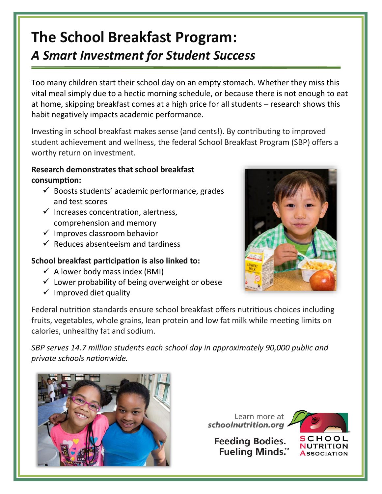## **The School Breakfast Program:** *A Smart Investment for Student Success*

Too many children start their school day on an empty stomach. Whether they miss this vital meal simply due to a hectic morning schedule, or because there is not enough to eat at home, skipping breakfast comes at a high price for all students – research shows this habit negatively impacts academic performance.

Investing in school breakfast makes sense (and cents!). By contributing to improved student achievement and wellness, the federal School Breakfast Program (SBP) offers a worthy return on investment.

## **Research demonstrates that school breakfast consumption:**

- $\checkmark$  Boosts students' academic performance, grades and test scores
- $\checkmark$  Increases concentration, alertness, comprehension and memory
- $\checkmark$  Improves classroom behavior
- $\checkmark$  Reduces absenteeism and tardiness

## **School breakfast participation is also linked to:**

- $\checkmark$  A lower body mass index (BMI)
- $\checkmark$  Lower probability of being overweight or obese
- $\checkmark$  Improved diet quality



Federal nutrition standards ensure school breakfast offers nutritious choices including fruits, vegetables, whole grains, lean protein and low fat milk while meeting limits on calories, unhealthy fat and sodium.

*SBP serves 14.7 million students each school day in approximately 90,000 public and private schools nationwide.*



Learn more at schoolnutrition.org

**Feeding Bodies. Fueling Minds.™**